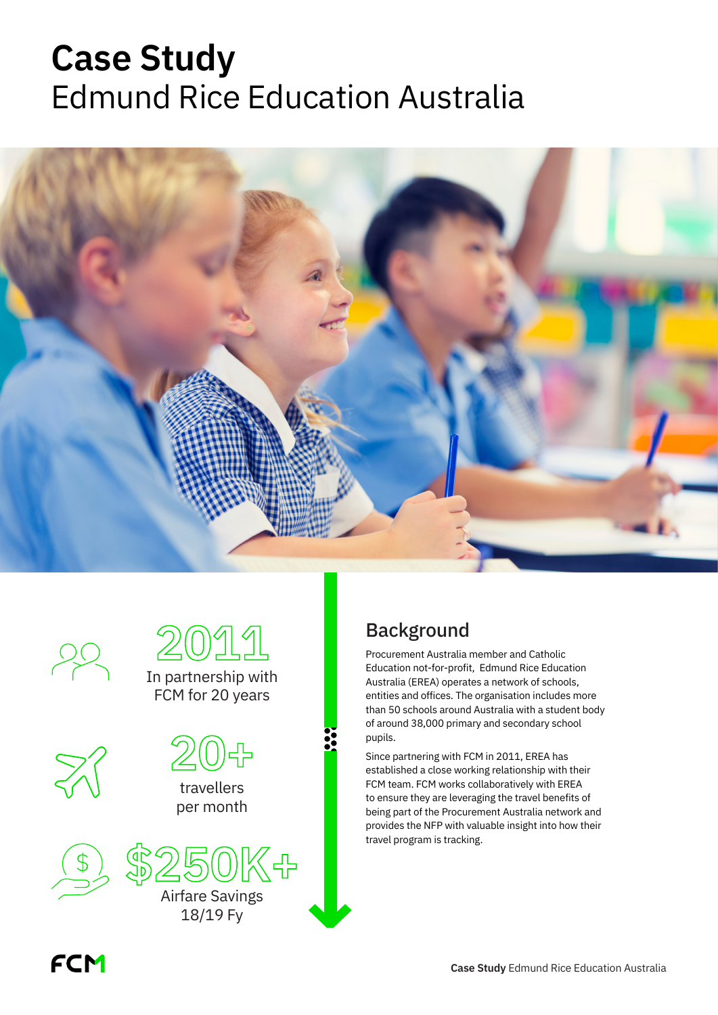# **Case Study** Edmund Rice Education Australia





## Background

Procurement Australia member and Catholic Education not-for-profit, Edmund Rice Education Australia (EREA) operates a network of schools, entities and offices. The organisation includes more than 50 schools around Australia with a student body of around 38,000 primary and secondary school pupils.

Since partnering with FCM in 2011, EREA has established a close working relationship with their FCM team. FCM works collaboratively with EREA to ensure they are leveraging the travel benefits of being part of the Procurement Australia network and provides the NFP with valuable insight into how their